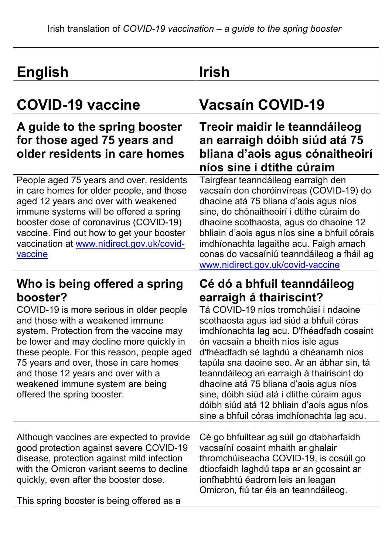| <b>English</b>                                                                                                                                                                                                                                                                                                                                                       | <u>Irish</u>                                                                                                                                                                                                                                                                                                                                                                                                                                                                              |
|----------------------------------------------------------------------------------------------------------------------------------------------------------------------------------------------------------------------------------------------------------------------------------------------------------------------------------------------------------------------|-------------------------------------------------------------------------------------------------------------------------------------------------------------------------------------------------------------------------------------------------------------------------------------------------------------------------------------------------------------------------------------------------------------------------------------------------------------------------------------------|
| <b>COVID-19 vaccine</b>                                                                                                                                                                                                                                                                                                                                              | <b>Vacsaín COVID-19</b>                                                                                                                                                                                                                                                                                                                                                                                                                                                                   |
| A guide to the spring booster<br>for those aged 75 years and<br>older residents in care homes                                                                                                                                                                                                                                                                        | Treoir maidir le teanndáileog<br>an earraigh dóibh siúd atá 75<br>bliana d'aois agus cónaitheoirí<br>níos sine i dtithe cúraim                                                                                                                                                                                                                                                                                                                                                            |
| People aged 75 years and over, residents<br>in care homes for older people, and those<br>aged 12 years and over with weakened<br>immune systems will be offered a spring<br>booster dose of coronavirus (COVID-19)<br>vaccine. Find out how to get your booster<br>vaccination at www.nidirect.gov.uk/covid-<br>vaccine                                              | Tairgfear teanndáileog earraigh den<br>vacsaín don choróinvíreas (COVID-19) do<br>dhaoine atá 75 bliana d'aois agus níos<br>sine, do chónaitheoirí i dtithe cúraim do<br>dhaoine scothaosta, agus do dhaoine 12<br>bhliain d'aois agus níos sine a bhfuil córais<br>imdhíonachta lagaithe acu. Faigh amach<br>conas do vacsaíniú teanndáileog a fháil ag<br>www.nidirect.gov.uk/covid-vaccine                                                                                             |
| Who is being offered a spring<br>booster?                                                                                                                                                                                                                                                                                                                            | Cé dó a bhfuil teanndáileog<br>earraigh á thairiscint?                                                                                                                                                                                                                                                                                                                                                                                                                                    |
| COVID-19 is more serious in older people<br>and those with a weakened immune<br>system. Protection from the vaccine may<br>be lower and may decline more quickly in<br>these people. For this reason, people aged<br>75 years and over, those in care homes<br>and those 12 years and over with a<br>weakened immune system are being<br>offered the spring booster. | Tá COVID-19 níos tromchúisí i ndaoine<br>scothaosta agus iad siúd a bhfuil córas<br>imdhíonachta lag acu. D'fhéadfadh cosaint<br>ón vacsaín a bheith níos ísle agus<br>d'fhéadfadh sé laghdú a dhéanamh níos<br>tapúla sna daoine seo. Ar an ábhar sin, tá<br>teanndáileog an earraigh á thairiscint do<br>dhaoine atá 75 bliana d'aois agus níos<br>sine, dóibh siúd atá i dtithe cúraim agus<br>dóibh siúd atá 12 bhliain d'aois agus níos<br>sine a bhfuil córas imdhíonachta lag acu. |
| Although vaccines are expected to provide<br>good protection against severe COVID-19<br>disease, protection against mild infection<br>with the Omicron variant seems to decline<br>quickly, even after the booster dose.<br>This spring booster is being offered as a                                                                                                | Cé go bhfuiltear ag súil go dtabharfaidh<br>vacsaíní cosaint mhaith ar ghalair<br>thromchúiseacha COVID-19, is cosúil go<br>dtiocfaidh laghdú tapa ar an gcosaint ar<br>ionfhabhtú éadrom leis an leagan<br>Omicron, fiú tar éis an teanndáileog.                                                                                                                                                                                                                                         |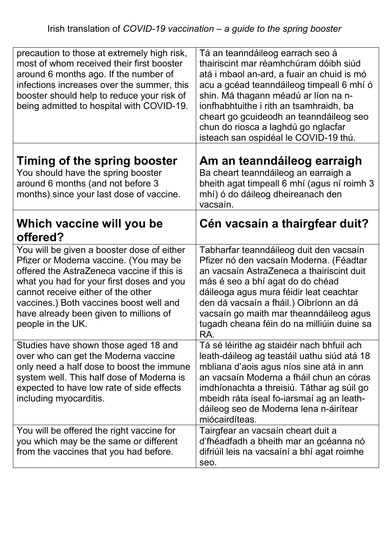| precaution to those at extremely high risk,<br>most of whom received their first booster<br>around 6 months ago. If the number of<br>infections increases over the summer, this<br>booster should help to reduce your risk of<br>being admitted to hospital with COVID-19.                                                      | Tá an teanndáileog earrach seo á<br>thairiscint mar réamhchúram dóibh siúd<br>atá i mbaol an-ard, a fuair an chuid is mó<br>acu a gcéad teanndáileog timpeall 6 mhí ó<br>shin. Má thagann méadú ar líon na n-<br>ionfhabhtuithe i rith an tsamhraidh, ba<br>cheart go gcuideodh an teanndáileog seo<br>chun do riosca a laghdú go nglacfar<br>isteach san ospidéal le COVID-19 thú. |
|---------------------------------------------------------------------------------------------------------------------------------------------------------------------------------------------------------------------------------------------------------------------------------------------------------------------------------|-------------------------------------------------------------------------------------------------------------------------------------------------------------------------------------------------------------------------------------------------------------------------------------------------------------------------------------------------------------------------------------|
| Timing of the spring booster<br>You should have the spring booster<br>around 6 months (and not before 3<br>months) since your last dose of vaccine.                                                                                                                                                                             | Am an teanndáileog earraigh<br>Ba cheart teanndáileog an earraigh a<br>bheith agat timpeall 6 mhí (agus ní roimh 3<br>mhí) ó do dáileog dheireanach den<br>vacsaín.                                                                                                                                                                                                                 |
| Which vaccine will you be<br>offered?                                                                                                                                                                                                                                                                                           | Cén vacsaín a thairgfear duit?                                                                                                                                                                                                                                                                                                                                                      |
| You will be given a booster dose of either<br>Pfizer or Moderna vaccine. (You may be<br>offered the AstraZeneca vaccine if this is<br>what you had for your first doses and you<br>cannot receive either of the other<br>vaccines.) Both vaccines boost well and<br>have already been given to millions of<br>people in the UK. | Tabharfar teanndáileog duit den vacsaín<br>Pfizer nó den vacsaín Moderna. (Féadtar<br>an vacsaín AstraZeneca a thairiscint duit<br>más é seo a bhí agat do do chéad<br>dáileoga agus mura féidir leat ceachtar<br>den dá vacsaín a fháil.) Oibríonn an dá<br>vacsaín go maith mar theanndáileog agus<br>tugadh cheana féin do na milliúin duine sa<br>RA.                           |
| Studies have shown those aged 18 and<br>over who can get the Moderna vaccine<br>only need a half dose to boost the immune<br>system well. This half dose of Moderna is<br>expected to have low rate of side effects<br>including myocarditis.                                                                                   | Tá sé léirithe ag staidéir nach bhfuil ach<br>leath-dáileog ag teastáil uathu siúd atá 18<br>mbliana d'aois agus níos sine atá in ann<br>an vacsaín Moderna a fháil chun an córas<br>imdhíonachta a threisiú. Táthar ag súil go<br>mbeidh ráta íseal fo-iarsmaí ag an leath-<br>dáileog seo de Moderna lena n-áirítear<br>miócairdíteas.                                            |
| You will be offered the right vaccine for<br>you which may be the same or different<br>from the vaccines that you had before.                                                                                                                                                                                                   | Tairgfear an vacsaín cheart duit a<br>d'fhéadfadh a bheith mar an gcéanna nó<br>difriúil leis na vacsaíní a bhí agat roimhe<br>seo.                                                                                                                                                                                                                                                 |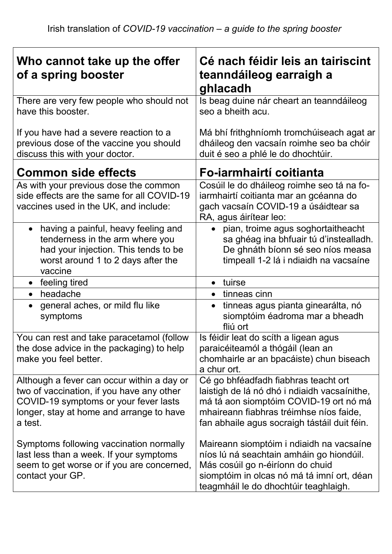| Who cannot take up the offer<br>of a spring booster                                                                                                                                     | Cé nach féidir leis an tairiscint<br>teanndáileog earraigh a<br>ghlacadh                                                                                                                                                  |
|-----------------------------------------------------------------------------------------------------------------------------------------------------------------------------------------|---------------------------------------------------------------------------------------------------------------------------------------------------------------------------------------------------------------------------|
| There are very few people who should not<br>have this booster.                                                                                                                          | Is beag duine nár cheart an teanndáileog<br>seo a bheith acu.                                                                                                                                                             |
| If you have had a severe reaction to a<br>previous dose of the vaccine you should<br>discuss this with your doctor.                                                                     | Má bhí frithghníomh tromchúiseach agat ar<br>dháileog den vacsaín roimhe seo ba chóir<br>duit é seo a phlé le do dhochtúir.                                                                                               |
| <b>Common side effects</b>                                                                                                                                                              | Fo-iarmhairtí coitianta                                                                                                                                                                                                   |
| As with your previous dose the common<br>side effects are the same for all COVID-19<br>vaccines used in the UK, and include:                                                            | Cosúil le do dháileog roimhe seo tá na fo-<br>iarmhairtí coitianta mar an gcéanna do<br>gach vacsaín COVID-19 a úsáidtear sa<br>RA, agus áirítear leo:                                                                    |
| having a painful, heavy feeling and<br>$\bullet$<br>tenderness in the arm where you<br>had your injection. This tends to be<br>worst around 1 to 2 days after the<br>vaccine            | pian, troime agus soghortaitheacht<br>sa ghéag ina bhfuair tú d'instealladh.<br>De ghnáth bíonn sé seo níos measa<br>timpeall 1-2 lá i ndiaidh na vacsaíne                                                                |
| • feeling tired                                                                                                                                                                         | tuirse                                                                                                                                                                                                                    |
| headache<br>$\bullet$                                                                                                                                                                   | tinneas cinn                                                                                                                                                                                                              |
| general aches, or mild flu like<br>symptoms                                                                                                                                             | tinneas agus pianta ginearálta, nó<br>$\bullet$<br>siomptóim éadroma mar a bheadh<br>fliú ort                                                                                                                             |
| You can rest and take paracetamol (follow<br>the dose advice in the packaging) to help<br>make you feel better.                                                                         | Is féidir leat do scíth a ligean agus<br>paraicéiteamól a thógáil (lean an<br>chomhairle ar an bpacáiste) chun biseach<br>a chur ort.                                                                                     |
| Although a fever can occur within a day or<br>two of vaccination, if you have any other<br>COVID-19 symptoms or your fever lasts<br>longer, stay at home and arrange to have<br>a test. | Cé go bhféadfadh fiabhras teacht ort<br>laistigh de lá nó dhó i ndiaidh vacsaínithe,<br>má tá aon siomptóim COVID-19 ort nó má<br>mhaireann fiabhras tréimhse níos faide,<br>fan abhaile agus socraigh tástáil duit féin. |
| Symptoms following vaccination normally<br>last less than a week. If your symptoms<br>seem to get worse or if you are concerned,<br>contact your GP.                                    | Maireann siomptóim i ndiaidh na vacsaíne<br>níos lú ná seachtain amháin go hiondúil.<br>Más cosúil go n-éiríonn do chuid<br>siomptóim in olcas nó má tá imní ort, déan<br>teagmháil le do dhochtúir teaghlaigh.           |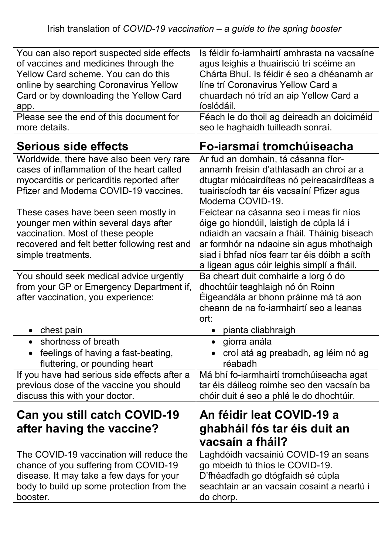| You can also report suspected side effects<br>of vaccines and medicines through the<br>Yellow Card scheme. You can do this<br>online by searching Coronavirus Yellow<br>Card or by downloading the Yellow Card<br>app.<br>Please see the end of this document for<br>more details. | Is féidir fo-iarmhairtí amhrasta na vacsaíne<br>agus leighis a thuairisciú trí scéime an<br>Chárta Bhuí. Is féidir é seo a dhéanamh ar<br>líne trí Coronavirus Yellow Card a<br>chuardach nó tríd an aip Yellow Card a<br>íoslódáil.<br>Féach le do thoil ag deireadh an doiciméid<br>seo le haghaidh tuilleadh sonraí. |
|------------------------------------------------------------------------------------------------------------------------------------------------------------------------------------------------------------------------------------------------------------------------------------|-------------------------------------------------------------------------------------------------------------------------------------------------------------------------------------------------------------------------------------------------------------------------------------------------------------------------|
| Serious side effects                                                                                                                                                                                                                                                               | Fo-iarsmaí tromchúiseacha                                                                                                                                                                                                                                                                                               |
| Worldwide, there have also been very rare<br>cases of inflammation of the heart called<br>myocarditis or pericarditis reported after<br>Pfizer and Moderna COVID-19 vaccines.                                                                                                      | Ar fud an domhain, tá cásanna fíor-<br>annamh freisin d'athlasadh an chroí ar a<br>dtugtar miócairdíteas nó peireacairdíteas a<br>tuairiscíodh tar éis vacsaíní Pfizer agus<br>Moderna COVID-19.                                                                                                                        |
| These cases have been seen mostly in<br>younger men within several days after<br>vaccination. Most of these people<br>recovered and felt better following rest and<br>simple treatments.                                                                                           | Feictear na cásanna seo i meas fir níos<br>óige go hiondúil, laistigh de cúpla lá i<br>ndiaidh an vacsaín a fháil. Tháinig biseach<br>ar formhór na ndaoine sin agus mhothaigh<br>siad i bhfad níos fearr tar éis dóibh a scíth<br>a ligean agus cóir leighis simplí a fháil.                                           |
| You should seek medical advice urgently<br>from your GP or Emergency Department if,<br>after vaccination, you experience:                                                                                                                                                          | Ba cheart duit comhairle a lorg ó do<br>dhochtúir teaghlaigh nó ón Roinn<br>Éigeandála ar bhonn práinne má tá aon<br>cheann de na fo-iarmhairtí seo a leanas<br>ort:                                                                                                                                                    |
| chest pain                                                                                                                                                                                                                                                                         | pianta cliabhraigh                                                                                                                                                                                                                                                                                                      |
| shortness of breath                                                                                                                                                                                                                                                                | giorra anála                                                                                                                                                                                                                                                                                                            |
| feelings of having a fast-beating,<br>$\bullet$<br>fluttering, or pounding heart                                                                                                                                                                                                   | croí atá ag preabadh, ag léim nó ag<br>réabadh                                                                                                                                                                                                                                                                          |
| If you have had serious side effects after a<br>previous dose of the vaccine you should<br>discuss this with your doctor.                                                                                                                                                          | Má bhí fo-iarmhairtí tromchúiseacha agat<br>tar éis dáileog roimhe seo den vacsaín ba<br>chóir duit é seo a phlé le do dhochtúir.                                                                                                                                                                                       |
| Can you still catch COVID-19<br>after having the vaccine?                                                                                                                                                                                                                          | An féidir leat COVID-19 a<br>ghabháil fós tar éis duit an<br>vacsaín a fháil?                                                                                                                                                                                                                                           |
| The COVID-19 vaccination will reduce the<br>chance of you suffering from COVID-19<br>disease. It may take a few days for your<br>body to build up some protection from the<br>booster.                                                                                             | Laghdóidh vacsaíniú COVID-19 an seans<br>go mbeidh tú thíos le COVID-19.<br>D'fhéadfadh go dtógfaidh sé cúpla<br>seachtain ar an vacsaín cosaint a neartú i<br>do chorp.                                                                                                                                                |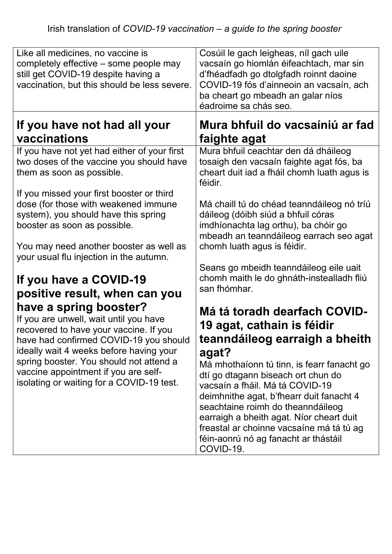| Like all medicines, no vaccine is<br>completely effective – some people may<br>still get COVID-19 despite having a<br>vaccination, but this should be less severe.                              | Cosúil le gach leigheas, níl gach uile<br>vacsaín go hiomlán éifeachtach, mar sin<br>d'fhéadfadh go dtolgfadh roinnt daoine<br>COVID-19 fós d'ainneoin an vacsaín, ach<br>ba cheart go mbeadh an galar níos<br>éadroime sa chás seo.                                                                                                              |
|-------------------------------------------------------------------------------------------------------------------------------------------------------------------------------------------------|---------------------------------------------------------------------------------------------------------------------------------------------------------------------------------------------------------------------------------------------------------------------------------------------------------------------------------------------------|
| If you have not had all your                                                                                                                                                                    | Mura bhfuil do vacsaíniú ar fad                                                                                                                                                                                                                                                                                                                   |
| vaccinations                                                                                                                                                                                    | faighte agat                                                                                                                                                                                                                                                                                                                                      |
| If you have not yet had either of your first<br>two doses of the vaccine you should have<br>them as soon as possible.                                                                           | Mura bhfuil ceachtar den dá dháileog<br>tosaigh den vacsaín faighte agat fós, ba<br>cheart duit iad a fháil chomh luath agus is<br>féidir.                                                                                                                                                                                                        |
| If you missed your first booster or third<br>dose (for those with weakened immune<br>system), you should have this spring<br>booster as soon as possible.                                       | Má chaill tú do chéad teanndáileog nó tríú<br>dáileog (dóibh siúd a bhfuil córas<br>imdhíonachta lag orthu), ba chóir go<br>mbeadh an teanndáileog earrach seo agat                                                                                                                                                                               |
| You may need another booster as well as<br>your usual flu injection in the autumn.                                                                                                              | chomh luath agus is féidir.<br>Seans go mbeidh teanndáileog eile uait                                                                                                                                                                                                                                                                             |
| If you have a COVID-19<br>positive result, when can you                                                                                                                                         | chomh maith le do ghnáth-instealladh fliú<br>san fhómhar.                                                                                                                                                                                                                                                                                         |
| have a spring booster?<br>If you are unwell, wait until you have<br>recovered to have your vaccine. If you<br>have had confirmed COVID-19 you should<br>ideally wait 4 weeks before having your | Má tá toradh dearfach COVID-<br>19 agat, cathain is féidir<br>teanndáileog earraigh a bheith<br>agat?                                                                                                                                                                                                                                             |
| spring booster. You should not attend a<br>vaccine appointment if you are self-<br>isolating or waiting for a COVID-19 test.                                                                    | Má mhothaíonn tú tinn, is fearr fanacht go<br>dtí go dtagann biseach ort chun do<br>vacsaín a fháil. Má tá COVID-19<br>deimhnithe agat, b'fhearr duit fanacht 4<br>seachtaine roimh do theanndáileog<br>earraigh a bheith agat. Níor cheart duit<br>freastal ar choinne vacsaíne má tá tú ag<br>féin-aonrú nó ag fanacht ar thástáil<br>COVID-19. |